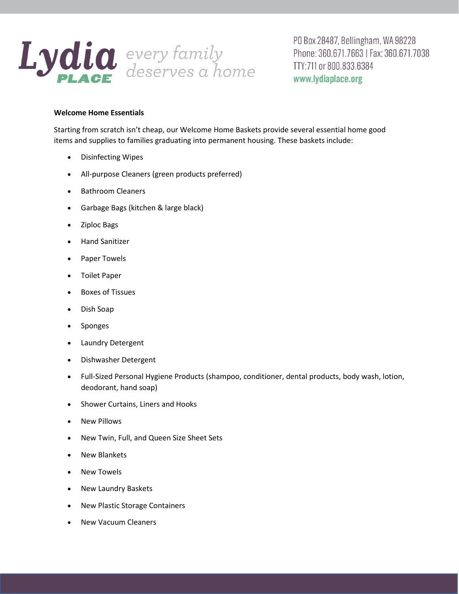

PO Box 28487, Bellingham, WA 98228 Phone: 360.671.7663 | Fax: 360.671.7038 TTY:711 or 800.833.6384 www.lydiaplace.org

## **Welcome Home Essentials**

Starting from scratch isn't cheap, our Welcome Home Baskets provide several essential home good items and supplies to families graduating into permanent housing. These baskets include:

- Disinfecting Wipes
- All-purpose Cleaners (green products preferred)
- Bathroom Cleaners
- Garbage Bags (kitchen & large black)
- Ziploc Bags
- **•** Hand Sanitizer
- Paper Towels
- Toilet Paper
- Boxes of Tissues
- Dish Soap
- Sponges
- Laundry Detergent
- Dishwasher Detergent
- Full-Sized Personal Hygiene Products (shampoo, conditioner, dental products, body wash, lotion, deodorant, hand soap)
- Shower Curtains, Liners and Hooks
- New Pillows
- New Twin, Full, and Queen Size Sheet Sets
- New Blankets
- New Towels
- New Laundry Baskets
- New Plastic Storage Containers
- New Vacuum Cleaners